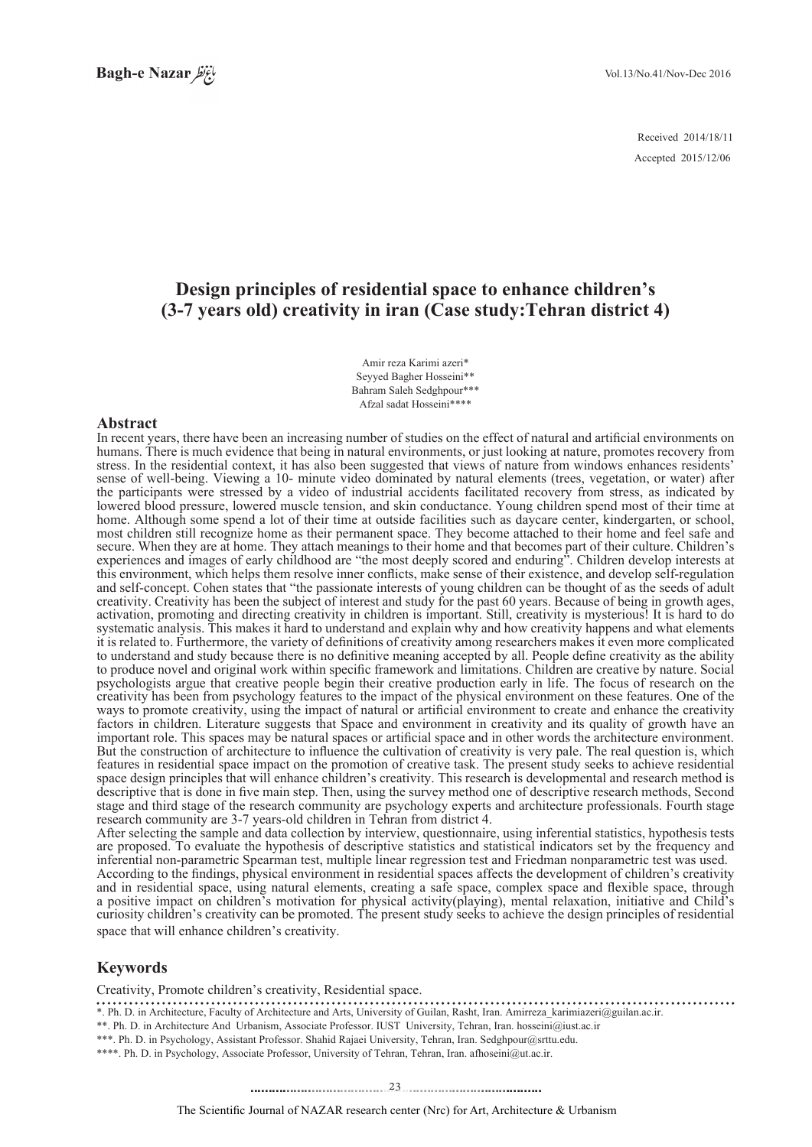2014/18/11 Received 2015/12/06 Accepted

# **Design principles of residential space to enhance children's** (3-7 years old) creativity in iran (Case study: Tehran district 4)

Amir reza Karimi azeri\* Seyyed Bagher Hosseini\*\* Bahram Saleh Sedghpour\*\*\* Afzal sadat Hosseini\*\*\*\*

#### **Abstract**

In recent years, there have been an increasing number of studies on the effect of natural and artificial environments on humans. There is much evidence that being in natural environments, or just looking at nature, promotes recovery from stress. In the residential context, it has also been suggested that views of nature from windows enhances residents' sense of well-being. Viewing a 10- minute video dominated by natural elements (trees, vegetation, or water) after the participants were stressed by a video of industrial accidents facilitated recovery from stress, as indicated by lowered blood pressure, lowered muscle tension, and skin conductance. Young children spend most of their time at home. Although some spend a lot of their time at outside facilities such as daycare center, kindergarten, or school, most children still recognize home as their permanent space. They become attached to their home and feel safe and secure. When they are at home. They attach meanings to their home and that becomes part of their culture. Children's experiences and images of early childhood are "the most deeply scored and enduring". Children develop interests at this environment, which helps them resolve inner conflicts, make sense of their existence, and develop self-regulation and self-concept. Cohen states that "the passionate interests of young children can be thought of as the seeds of adult creativity. Creativity has been the subject of interest and study for the past 60 years. Because of being in growth ages, activation, promoting and directing creativity in children is important. Still, creativity is mysterious! It is hard to do systematic analysis. This makes it hard to understand and explain why and how creativity happens and what elements it is related to. Furthermore, the variety of definitions of creativity among researchers makes it even more complicated to understand and study because there is no definitive meaning accepted by all. People define creativity as the ability to produce novel and original work within specific framework and limitations. Children are creative by nature. Social psychologists argue that creative people begin their creative production early in life. The focus of research on the creativity has been from psychology features to the impact of the physical environment on these features. One of the ways to promote creativity, using the impact of natural or artificial environment to create and enhance the creativity factors in children. Literature suggests that Space and environment in creativity and its quality of growth have an important role. This spaces may be natural spaces or artificial space and in other words the architecture environment. But the construction of architecture to influence the cultivation of creativity is very pale. The real question is, which features in residential space impact on the promotion of creative task. The present study seeks to achieve residential space design principles that will enhance children's creativity. This research is developmental and research method is descriptive that is done in five main step. Then, using the survey method one of descriptive research methods, Second stage and third stage of the research community are psychology experts and architecture professionals. Fourth stage research community are 3-7 years-old children in Tehran from district 4.

After selecting the sample and data collection by interview, questionnaire, using inferential statistics, hypothesis tests are proposed. To evaluate the hypothesis of descriptive statistics and statistical indicators set by the frequency and inferential non-parametric Spearman test, multiple linear regression test and Friedman nonparametric test was used. According to the findings, physical environment in residential spaces affects the development of children's creativity and in residential space, using natural elements, creating a safe space, complex space and flexible space, through a positive impact on children's motivation for physical activity (playing), mental relaxation, initiative and Child's curiosity children's creativity can be promoted. The present study seeks to achieve the design principles of residential space that will enhance children's creativity.

### **Keywords**

Creativity, Promote children's creativity, Residential space.

\*. Ph. D. in Architecture, Faculty of Architecture and Arts, University of Guilan, Rasht, Iran. Amirreza\_karimiazeri@guilan.ac.ir.

\*\*. Ph. D. in Architecture And Urbanism, Associate Professor. IUST University, Tehran, Iran. hosseini@iust.ac.ir \*\*\*. Ph. D. in Psychology, Assistant Professor. Shahid Rajaei University, Tehran, Iran. Sedghpour@srttu.edu.

\*\*\*\*. Ph. D. in Psychology, Associate Professor, University of Tehran, Tehran, Iran. afhoseini@ut.ac.ir.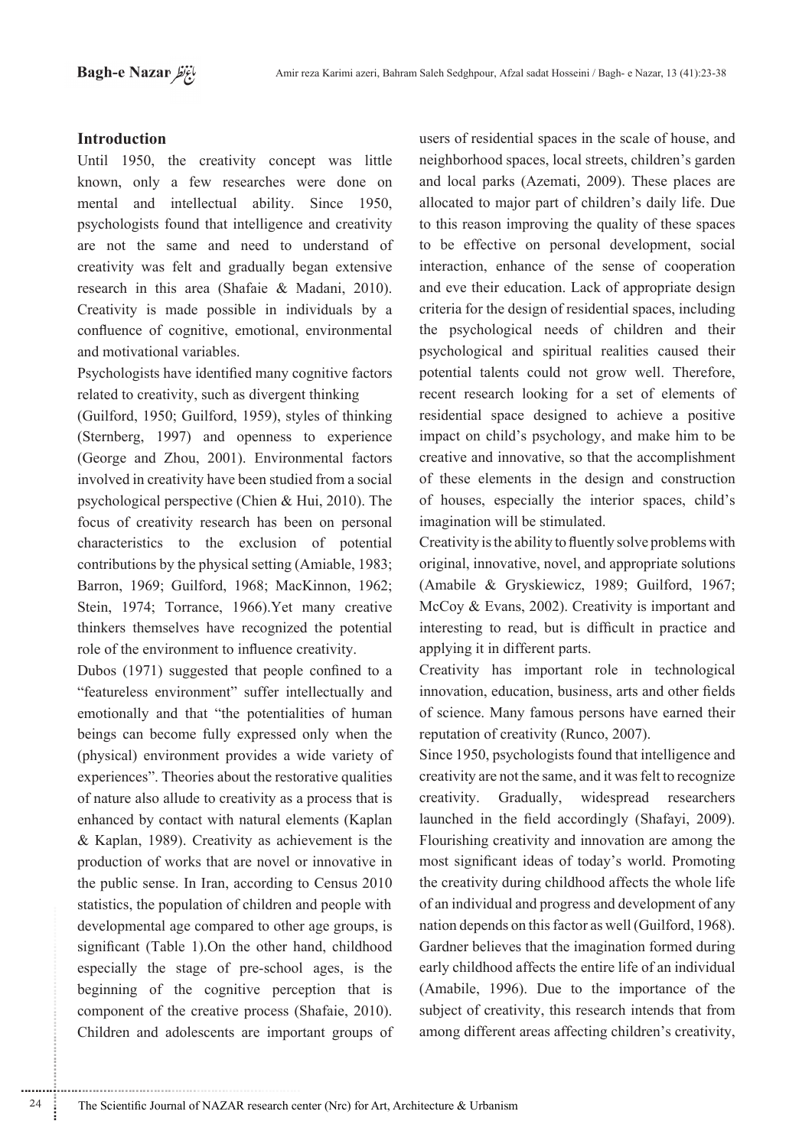## **Introduction**

Until 1950, the creativity concept was little known, only a few researches were done on mental and intellectual ability. Since 1950, psychologists found that intelligence and creativity are not the same and need to understand of creativity was felt and gradually began extensive research in this area (Shafaie & Madani, 2010). Creativity is made possible in individuals by a confluence of cognitive, emotional, environmental and motivational variables.

Psychologists have identified many cognitive factors related to creativity, such as divergent thinking

(Guilford, 1950; Guilford, 1959), styles of thinking (Sternberg, 1997) and openness to experience (George and Zhou,  $2001$ ). Environmental factors involved in creativity have been studied from a social psychological perspective (Chien  $& Hui$ , 2010). The focus of creativity research has been on personal characteristics to the exclusion of potential contributions by the physical setting (Amiable, 1983; Barron, 1969; Guilford, 1968; MacKinnon, 1962; Stein, 1974; Torrance, 1966).Yet many creative thinkers themselves have recognized the potential role of the environment to influence creativity.

Dubos  $(1971)$  suggested that people confined to a "featureless environment" suffer intellectually and emotionally and that "the potentialities of human beings can become fully expressed only when the (physical) environment provides a wide variety of experiences". Theories about the restorative qualities of nature also allude to creativity as a process that is enhanced by contact with natural elements (Kaplan  $&$  Kaplan, 1989). Creativity as achievement is the production of works that are novel or innovative in the public sense. In Iran, according to Census 2010 statistics, the population of children and people with developmental age compared to other age groups, is significant (Table 1).On the other hand, childhood especially the stage of pre-school ages, is the beginning of the cognitive perception that is component of the creative process (Shafaie, 2010). Children and adolescents are important groups of

............................................................

users of residential spaces in the scale of house, and neighborhood spaces, local streets, children's garden and local parks (Azemati, 2009). These places are allocated to major part of children's daily life. Due to this reason improving the quality of these spaces to be effective on personal development, social interaction, enhance of the sense of cooperation and eve their education. Lack of appropriate design criteria for the design of residential spaces, including the psychological needs of children and their psychological and spiritual realities caused their potential talents could not grow well. Therefore, recent research looking for a set of elements of residential space designed to achieve a positive impact on child's psychology, and make him to be creative and innovative, so that the accomplishment of these elements in the design and construction of houses, especially the interior spaces, child's imagination will be stimulated.

Creativity is the ability to fluently solve problems with original, innovative, novel, and appropriate solutions  $(Amabile & Gryskiewicz, 1989; Guillford, 1967;$ McCoy & Evans, 2002). Creativity is important and interesting to read, but is difficult in practice and applying it in different parts.

Creativity has important role in technological innovation, education, business, arts and other fields of science. Many famous persons have earned their reputation of creativity (Runco, 2007).

Since 1950, psychologists found that intelligence and creativity are not the same, and it was felt to recognize creativity. Gradually, widespread researchers launched in the field accordingly (Shafayi, 2009). Flourishing creativity and innovation are among the most significant ideas of today's world. Promoting the creativity during childhood affects the whole life of an individual and progress and development of any nation depends on this factor as well (Guilford, 1968). Gardner believes that the imagination formed during early childhood affects the entire life of an individual  $(Amabile, 1996)$ . Due to the importance of the subject of creativity, this research intends that from among different areas affecting children's creativity,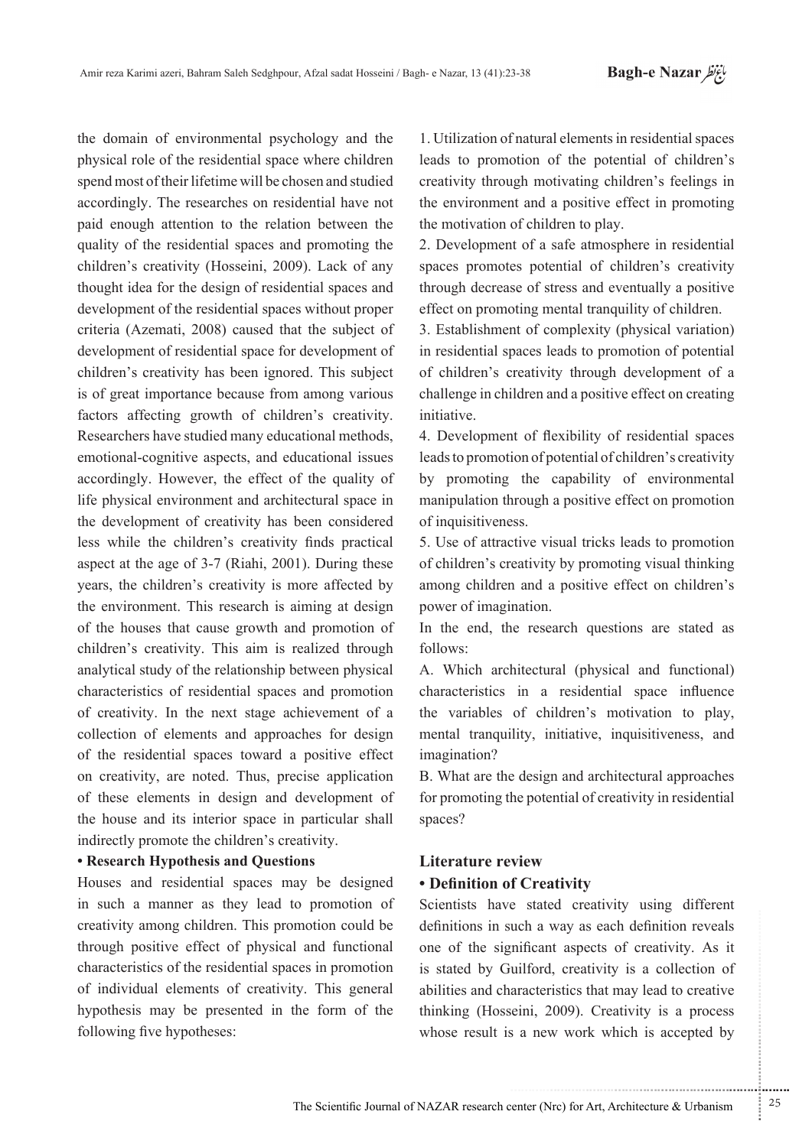the domain of environmental psychology and the physical role of the residential space where children spend most of their lifetime will be chosen and studied accordingly. The researches on residential have not paid enough attention to the relation between the quality of the residential spaces and promoting the children's creativity (Hosseini, 2009). Lack of any thought idea for the design of residential spaces and development of the residential spaces without proper criteria (Azemati, 2008) caused that the subject of development of residential space for development of children's creativity has been ignored. This subject is of great importance because from among various factors affecting growth of children's creativity. Researchers have studied many educational methods, emotional-cognitive aspects, and educational issues accordingly. However, the effect of the quality of life physical environment and architectural space in the development of creativity has been considered less while the children's creativity finds practical aspect at the age of  $3-7$  (Riahi, 2001). During these years, the children's creativity is more affected by the environment. This research is aiming at design of the houses that cause growth and promotion of children's creativity. This aim is realized through analytical study of the relationship between physical characteristics of residential spaces and promotion of creativity. In the next stage achievement of a collection of elements and approaches for design of the residential spaces toward a positive effect on creativity, are noted. Thus, precise application of these elements in design and development of the house and its interior space in particular shall indirectly promote the children's creativity.

## **• Research Hypothesis and Questions**

Houses and residential spaces may be designed in such a manner as they lead to promotion of creativity among children. This promotion could be through positive effect of physical and functional characteristics of the residential spaces in promotion of individual elements of creativity. This general hypothesis may be presented in the form of the following five hypotheses:

1. Utilization of natural elements in residential spaces leads to promotion of the potential of children's creativity through motivating children's feelings in the environment and a positive effect in promoting the motivation of children to play.

2. Development of a safe atmosphere in residential spaces promotes potential of children's creativity through decrease of stress and eventually a positive effect on promoting mental tranquility of children.

3. Establishment of complexity (physical variation) in residential spaces leads to promotion of potential of children's creativity through development of a challenge in children and a positive effect on creating .initiative

4. Development of flexibility of residential spaces leads to promotion of potential of children's creativity by promoting the capability of environmental manipulation through a positive effect on promotion of inquisitiveness.

5. Use of attractive visual tricks leads to promotion of children's creativity by promoting visual thinking among children and a positive effect on children's power of imagination.

In the end, the research questions are stated as :follows

A. Which architectural (physical and functional) characteristics in a residential space influence the variables of children's motivation to play. mental tranquility, initiative, inquisitiveness, and imagination?

B. What are the design and architectural approaches for promoting the potential of creativity in residential spaces?

# **Literature** review

## **• Definition of Creativity**

Scientists have stated creativity using different definitions in such a way as each definition reveals one of the significant aspects of creativity. As it is stated by Guilford, creativity is a collection of abilities and characteristics that may lead to creative thinking (Hosseini, 2009). Creativity is a process whose result is a new work which is accepted by

.......... ....... ........ ........... ...... ....... ........ .......... ...........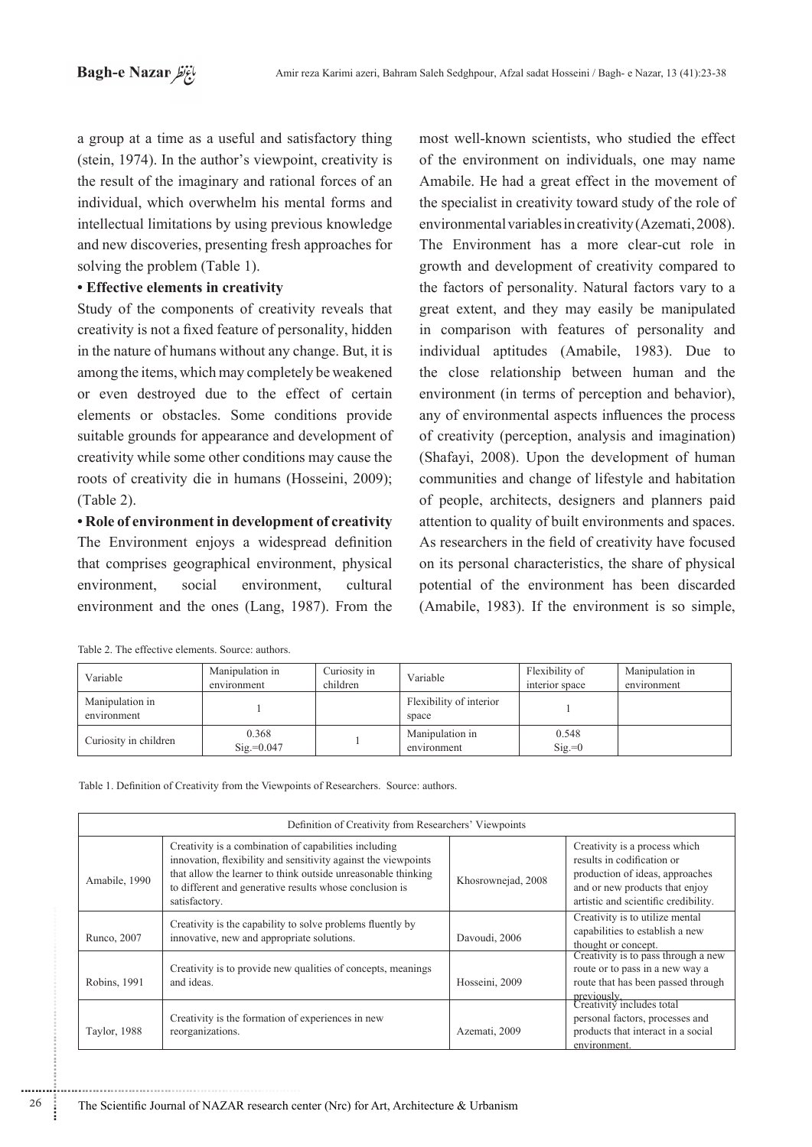a group at a time as a useful and satisfactory thing (stein,  $1974$ ). In the author's viewpoint, creativity is the result of the imaginary and rational forces of an individual, which overwhelm his mental forms and intellectual limitations by using previous knowledge and new discoveries, presenting fresh approaches for solving the problem (Table 1).

## **• Effective elements in creativity**

Study of the components of creativity reveals that creativity is not a fixed feature of personality, hidden in the nature of humans without any change. But, it is among the items, which may completely be weakened or even destroyed due to the effect of certain elements or obstacles. Some conditions provide suitable grounds for appearance and development of creativity while some other conditions may cause the roots of creativity die in humans (Hosseini, 2009);  $(Table 2)$ .

**• Role of environment in development of creativity** The Environment enjoys a widespread definition that comprises geographical environment, physical environment, social environment, cultural environment and the ones (Lang, 1987). From the

|  | Table 2. The effective elements. Source: authors. |  |
|--|---------------------------------------------------|--|
|  |                                                   |  |

most well-known scientists, who studied the effect of the environment on individuals, one may name Amabile. He had a great effect in the movement of the specialist in creativity toward study of the role of environmental variables in creativity (Azemati, 2008). The Environment has a more clear-cut role in growth and development of creativity compared to the factors of personality. Natural factors vary to a great extent, and they may easily be manipulated in comparison with features of personality and individual aptitudes (Amabile, 1983). Due to the close relationship between human and the environment (in terms of perception and behavior), any of environmental aspects influences the process of creativity (perception, analysis and imagination) (Shafayi, 2008). Upon the development of human communities and change of lifestyle and habitation of people, architects, designers and planners paid attention to quality of built environments and spaces. As researchers in the field of creativity have focused on its personal characteristics, the share of physical potential of the environment has been discarded  $(Amabile, 1983)$ . If the environment is so simple,

| Variable                       | Manipulation in<br>environment | Curiosity in<br>children | Variable                         | Flexibility of<br>interior space | Manipulation in<br>environment |
|--------------------------------|--------------------------------|--------------------------|----------------------------------|----------------------------------|--------------------------------|
| Manipulation in<br>environment |                                |                          | Flexibility of interior<br>space |                                  |                                |
| Curiosity in children          | 0.368<br>$\text{Sig} = 0.047$  |                          | Manipulation in<br>environment   | 0.548<br>$\text{Sig}=0$          |                                |

Table 1. Definition of Creativity from the Viewpoints of Researchers. Source: authors.

| Definition of Creativity from Researchers' Viewpoints |                                                                                                                                                                                                                                                                      |                    |                                                                                                                                                                          |  |  |  |  |
|-------------------------------------------------------|----------------------------------------------------------------------------------------------------------------------------------------------------------------------------------------------------------------------------------------------------------------------|--------------------|--------------------------------------------------------------------------------------------------------------------------------------------------------------------------|--|--|--|--|
| Amabile, 1990                                         | Creativity is a combination of capabilities including<br>innovation, flexibility and sensitivity against the viewpoints<br>that allow the learner to think outside unreasonable thinking<br>to different and generative results whose conclusion is<br>satisfactory. | Khosrownejad, 2008 | Creativity is a process which<br>results in codification or<br>production of ideas, approaches<br>and or new products that enjoy<br>artistic and scientific credibility. |  |  |  |  |
| Runco, 2007                                           | Creativity is the capability to solve problems fluently by<br>innovative, new and appropriate solutions.                                                                                                                                                             | Davoudi, 2006      | Creativity is to utilize mental<br>capabilities to establish a new<br>thought or concept.                                                                                |  |  |  |  |
| Robins, 1991                                          | Creativity is to provide new qualities of concepts, meanings<br>and ideas.                                                                                                                                                                                           | Hosseini, 2009     | Creativity is to pass through a new<br>route or to pass in a new way a<br>route that has been passed through                                                             |  |  |  |  |
| Taylor, 1988                                          | Creativity is the formation of experiences in new<br>reorganizations.                                                                                                                                                                                                | Azemati, 2009      | previously,<br>Creativity includes total<br>personal factors, processes and<br>products that interact in a social<br>environment.                                        |  |  |  |  |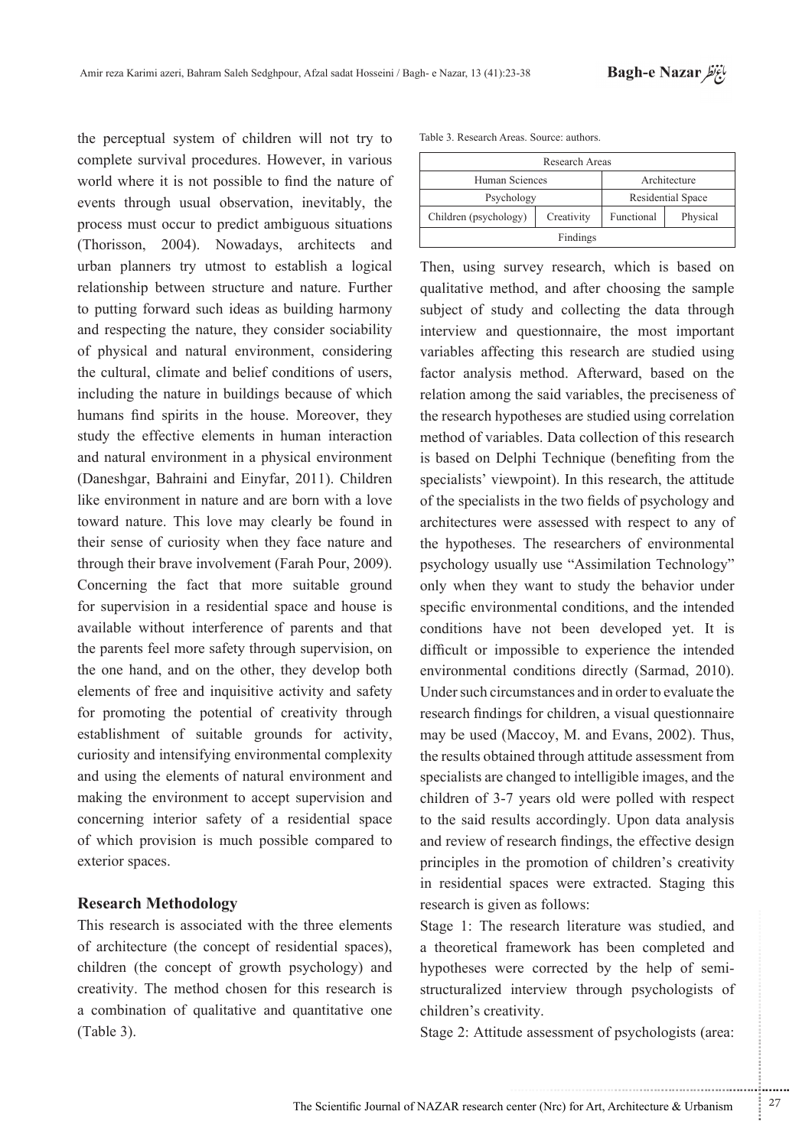the perceptual system of children will not try to complete survival procedures. However, in various world where it is not possible to find the nature of events through usual observation, inevitably, the process must occur to predict ambiguous situations (Thorisson, 2004). Nowadays, architects and urban planners try utmost to establish a logical relationship between structure and nature. Further to putting forward such ideas as building harmony and respecting the nature, they consider sociability of physical and natural environment, considering the cultural, climate and belief conditions of users, including the nature in buildings because of which humans find spirits in the house. Moreover, they study the effective elements in human interaction and natural environment in a physical environment (Daneshgar, Bahraini and Einyfar, 2011). Children like environment in nature and are born with a love toward nature. This love may clearly be found in their sense of curiosity when they face nature and through their brave involvement (Farah Pour, 2009). Concerning the fact that more suitable ground for supervision in a residential space and house is available without interference of parents and that the parents feel more safety through supervision, on the one hand, and on the other, they develop both elements of free and inquisitive activity and safety for promoting the potential of creativity through establishment of suitable grounds for activity, curiosity and intensifying environmental complexity and using the elements of natural environment and making the environment to accept supervision and concerning interior safety of a residential space of which provision is much possible compared to exterior spaces.

## **Methodology Research**

This research is associated with the three elements of architecture (the concept of residential spaces), children (the concept of growth psychology) and creativity. The method chosen for this research is a combination of qualitative and quantitative one  $(Table 3)$ .

| Table 3. Research Areas. Source: authors. |  |
|-------------------------------------------|--|
|-------------------------------------------|--|

| Research Areas                 |                   |          |  |  |  |
|--------------------------------|-------------------|----------|--|--|--|
| Human Sciences<br>Architecture |                   |          |  |  |  |
| Psychology                     | Residential Space |          |  |  |  |
| Children (psychology)          | Functional        | Physical |  |  |  |
| Findings                       |                   |          |  |  |  |

Then, using survey research, which is based on qualitative method, and after choosing the sample subject of study and collecting the data through interview and questionnaire, the most important variables affecting this research are studied using factor analysis method. Afterward, based on the relation among the said variables, the preciseness of the research hypotheses are studied using correlation method of variables. Data collection of this research is based on Delphi Technique (benefiting from the specialists' viewpoint). In this research, the attitude of the specialists in the two fields of psychology and architectures were assessed with respect to any of the hypotheses. The researchers of environmental psychology usually use "Assimilation Technology" only when they want to study the behavior under specific environmental conditions, and the intended conditions have not been developed yet. It is difficult or impossible to experience the intended environmental conditions directly (Sarmad, 2010). Under such circumstances and in order to evaluate the research findings for children, a visual questionnaire may be used (Maccoy, M. and Evans, 2002). Thus, the results obtained through attitude assessment from specialists are changed to intelligible images, and the children of 3-7 years old were polled with respect to the said results accordingly. Upon data analysis and review of research findings, the effective design principles in the promotion of children's creativity in residential spaces were extracted. Staging this research is given as follows:

Stage 1: The research literature was studied, and a theoretical framework has been completed and structuralized interview through psychologists of hypotheses were corrected by the help of semichildren's creativity.

Stage 2: Attitude assessment of psychologists (area:

.......... ....... ........ ........... ...... ....... ........ .......... ...........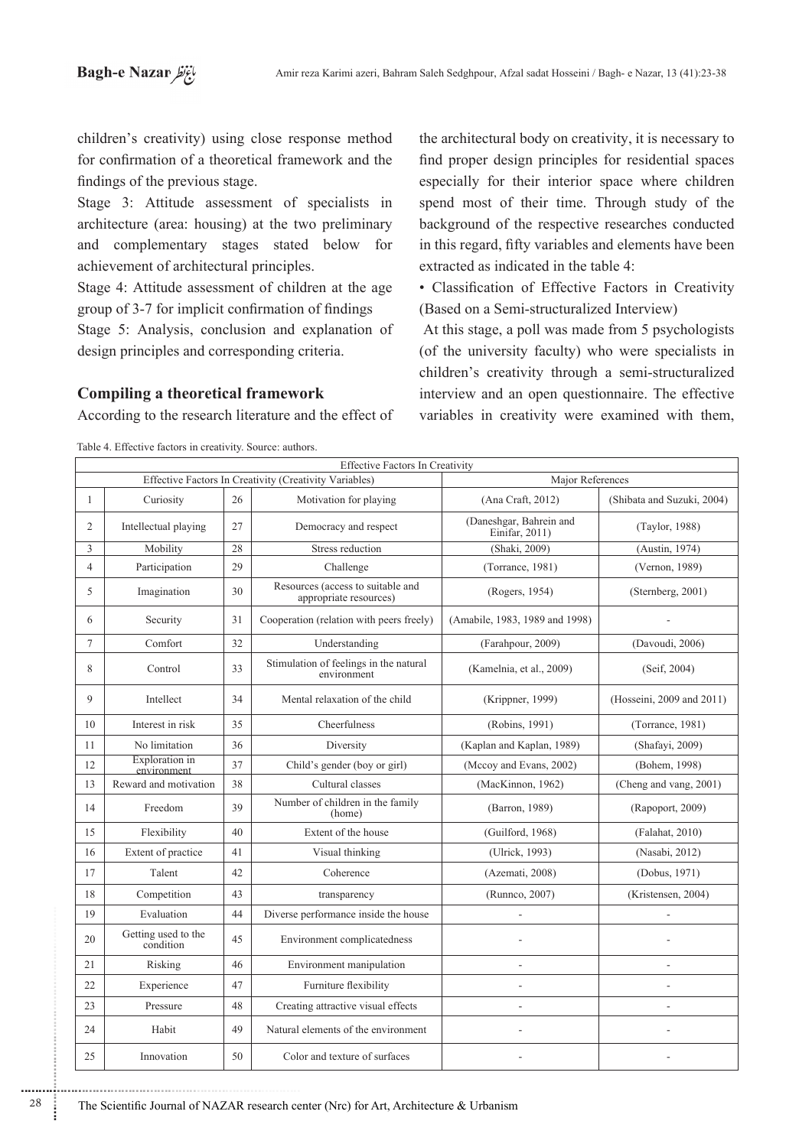children's creativity) using close response method for confirmation of a theoretical framework and the findings of the previous stage.

Stage 3: Attitude assessment of specialists in architecture (area: housing) at the two preliminary and complementary stages stated below for achievement of architectural principles.

Stage 4: Attitude assessment of children at the age group of 3-7 for implicit confirmation of findings Stage 5: Analysis, conclusion and explanation of

design principles and corresponding criteria.

## *Compiling a theoretical framework*

According to the research literature and the effect of

the architectural body on creativity, it is necessary to find proper design principles for residential spaces especially for their interior space where children spend most of their time. Through study of the background of the respective researches conducted in this regard, fifty variables and elements have been extracted as indicated in the table 4:

• Classification of Effective Factors in Creativity (Based on a Semi-structuralized Interview)

At this stage, a poll was made from 5 psychologists  $i$  (of the university faculty) who were specialists in children's creativity through a semi-structuralized interview and an open questionnaire. The effective variables in creativity were examined with them,

Effective Factors In Creativity Effective Factors In Creativity (Creativity Variables) Major References (2004) 1 Curiosity 26 Motivation for playing for and Craft, 2012 (Shibata and Suzuki, 2004) Daneshgar, Bahrein and <br>Einifar, 2011) (Taylor, 1988) 2 Intellectual playing  $27$  Democracy and respect (1974) 3 Mobility 28 Stress reduction (Shaki, 2009) (Austin, 1974) 4 Participation 29 Challenge (Torrance, 1981) (Vernon, 1989) Resources (access to suitable and 30 Imagination 5 urces (access to suitable and<br>appropriate resources) (Rogers, 1954) (Sternberg, 2001)  $\begin{array}{|c|c|c|c|c|c|c|c|c|} \hline 6 & & 31 & \text{Cooperation (relation with peers freely) } & \text{(Amabile, 1983, 1989 and 1998)} \hline \end{array}$ (2006) 7 (Davoudi, 2006) (Davoudi, 2006) (Davoudi, 2006) (Davoudi, 2006) Stimulation of feelings in the natural environment (environment) 8 | Control | 33 (Kamelnia, et al., 2009) (Seif, 2004)  $\begin{array}{|c|c|c|c|c|c|} \hline \end{array}$  and 2011 and 2011 and 2011 Mental relaxation of the child (Krippner, 1999) (Hosseini, 2009 and 2011) 10 Interest in risk 35 Cheerfulness (Robins, 1991) (Torrance, 1981) (2009) 11 No limitation 36 Diversity (Kaplan and Kaplan, 1989 (Shafayi, 2009) **Exploration** in 12 (1998) 37 Child's gender (boy or girl) (Mccoy and Evans, 2002) (Bohem, 1998) environment 13 Reward and motivation 38 Cultural classes Cultural classes (MacKinnon, 1962) (Cheng and vang, 2001) Number of children in the family<br>(home) 14 Freedom 39 (Barron, 1989) (Rapoport, 2009) 15 Flexibility 40 Extent of the house (Guilford, 1968) (Falahat, 2010) 16 Extent of practice 41 Visual thinking (Ulrick, 1993) (Nasabi, 2012) (1971 ,Dobus) (2008 ,Azemati (Coherence 42 Talent 17 (2007) (2004) (2004) (2004) (2004) (2004) (Kristensen, 2004) 19 Evaluation 44 Diverse performance inside the house the instant of the instant of the installation 19 February 19 Getting used to the 20 45 Environment complicatedness condition 21 Risking 46 Environment manipulation 2 22 Experience 47 Furniture flexibility and the set of the set of the set of the set of the set of the set of the set of the set of the set of the set of the set of the set of the set of the set of the set of the set of the 23 Pressure 48 Creating attractive visual effects - - environment the of elements Natural 49 Habit 24 - - surfaces of texture and Color 50 Innovation 25

Table 4. Effective factors in creativity. Source: authors.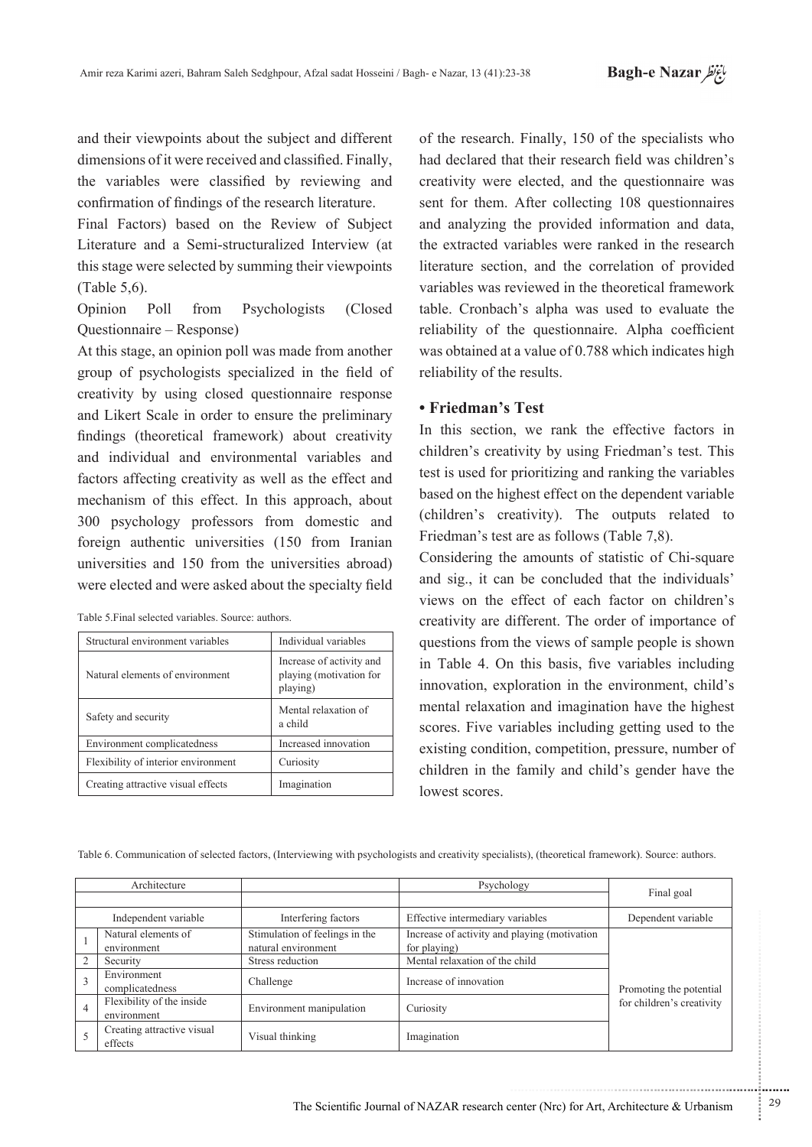and their viewpoints about the subject and different dimensions of it were received and classified. Finally, the variables were classified by reviewing and confirmation of findings of the research literature.

Final Factors) based on the Review of Subject Literature and a Semi-structuralized Interview (at this stage were selected by summing their viewpoints  $(Table 5, 6).$ 

Opinion Poll from Psychologists (Closed Questionnaire – Response)

At this stage, an opinion poll was made from another group of psychologists specialized in the field of creativity by using closed questionnaire response and Likert Scale in order to ensure the preliminary findings (theoretical framework) about creativity and individual and environmental variables and factors affecting creativity as well as the effect and mechanism of this effect. In this approach, about 300 psychology professors from domestic and foreign authentic universities (150 from Iranian universities and 150 from the universities abroad) were elected and were asked about the specialty field

| Structural environment variables    | Individual variables                                            |
|-------------------------------------|-----------------------------------------------------------------|
| Natural elements of environment     | Increase of activity and<br>playing (motivation for<br>playing) |
| Safety and security                 | Mental relaxation of<br>a child                                 |
| Environment complicatedness         | Increased innovation                                            |
| Flexibility of interior environment | Curiosity                                                       |
| Creating attractive visual effects  | Imagination                                                     |

of the research. Finally, 150 of the specialists who had declared that their research field was children's creativity were elected, and the questionnaire was sent for them. After collecting 108 questionnaires and analyzing the provided information and data, the extracted variables were ranked in the research literature section, and the correlation of provided variables was reviewed in the theoretical framework table. Cronbach's alpha was used to evaluate the reliability of the questionnaire. Alpha coefficient was obtained at a value of  $0.788$  which indicates high reliability of the results.

## **• Friedman's Test**

In this section, we rank the effective factors in children's creativity by using Friedman's test. This test is used for prioritizing and ranking the variables based on the highest effect on the dependent variable  $\alpha$  (children's creativity). The outputs related to Friedman's test are as follows (Table 7,8).

Considering the amounts of statistic of Chi-square and sig., it can be concluded that the individuals' views on the effect of each factor on children's creativity are different. The order of importance of questions from the views of sample people is shown in Table 4. On this basis, five variables including innovation, exploration in the environment, child's mental relaxation and imagination have the highest scores. Five variables including getting used to the existing condition, competition, pressure, number of children in the family and child's gender have the lowest scores.

Table 6. Communication of selected factors, (Interviewing with psychologists and creativity specialists), (theoretical framework). Source: authors.

| Architecture   |                            |                                | Psychology                                   | Final goal                |
|----------------|----------------------------|--------------------------------|----------------------------------------------|---------------------------|
|                |                            |                                |                                              |                           |
|                | Independent variable       | Interfering factors            | Effective intermediary variables             | Dependent variable        |
|                | Natural elements of        | Stimulation of feelings in the | Increase of activity and playing (motivation |                           |
|                | environment                | natural environment            | for playing)                                 |                           |
|                | Security                   | Stress reduction               | Mental relaxation of the child               |                           |
|                | Environment                | Challenge                      | Increase of innovation                       |                           |
|                | complicatedness            |                                |                                              | Promoting the potential   |
| $\overline{4}$ | Flexibility of the inside  | Environment manipulation       | Curiosity                                    | for children's creativity |
|                | environment                |                                |                                              |                           |
|                | Creating attractive visual |                                |                                              |                           |
|                | effects                    | Visual thinking                | Imagination                                  |                           |

...........................................................

.......... ....... ........ ........... ...... ....... ........ .......... ...........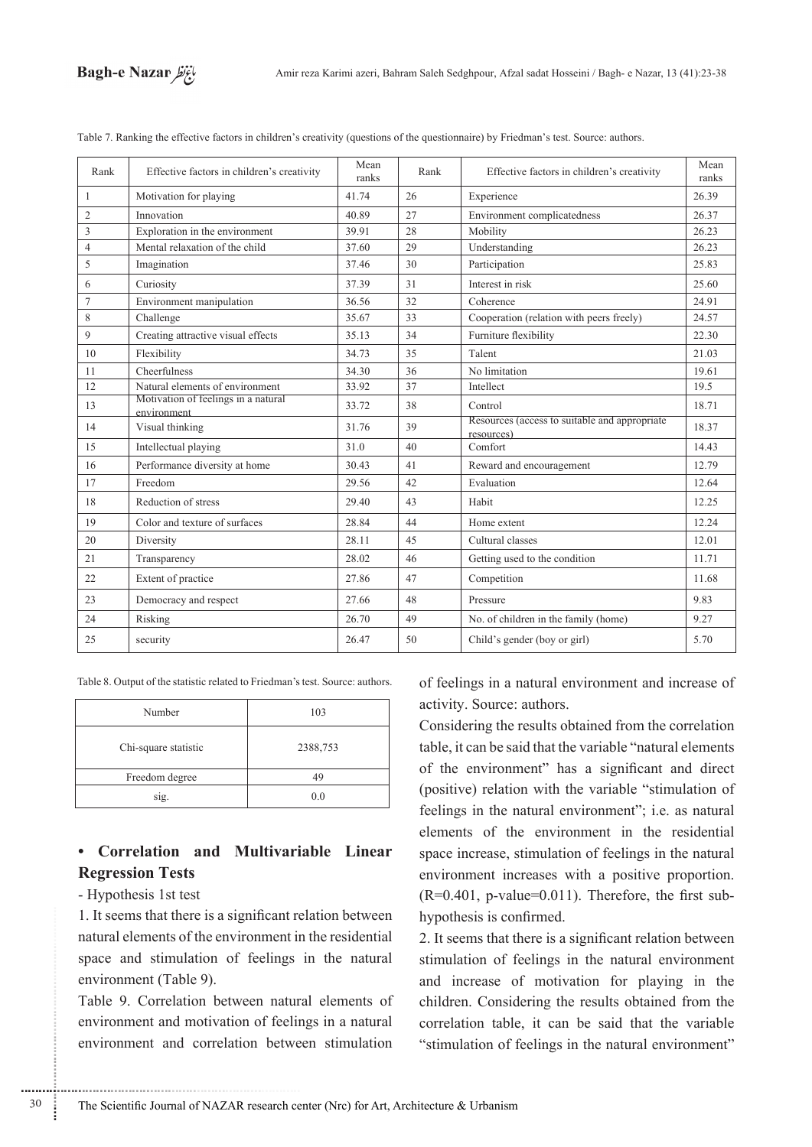

| Rank           | Effective factors in children's creativity         | Mean<br>ranks | Rank | Effective factors in children's creativity                  | Mean<br>ranks |
|----------------|----------------------------------------------------|---------------|------|-------------------------------------------------------------|---------------|
| 1              | Motivation for playing                             | 41.74         | 26   | Experience                                                  | 26.39         |
| $\overline{2}$ | Innovation                                         | 40.89         | 27   | Environment complicatedness                                 | 26.37         |
| 3              | Exploration in the environment                     | 39.91         | 28   | Mobility                                                    | 26.23         |
| $\overline{4}$ | Mental relaxation of the child                     | 37.60         | 29   | Understanding                                               | 26.23         |
| 5              | Imagination                                        | 37.46         | 30   | Participation                                               | 25.83         |
| 6              | Curiosity                                          | 37.39         | 31   | Interest in risk                                            | 25.60         |
| $\overline{7}$ | Environment manipulation                           | 36.56         | 32   | Coherence                                                   | 24.91         |
| 8              | Challenge                                          | 35.67         | 33   | Cooperation (relation with peers freely)                    | 24.57         |
| 9              | Creating attractive visual effects                 | 35.13         | 34   | Furniture flexibility                                       | 22.30         |
| 10             | Flexibility                                        | 34.73         | 35   | Talent                                                      | 21.03         |
| 11             | Cheerfulness                                       | 34.30         | 36   | No limitation                                               | 19.61         |
| 12             | Natural elements of environment                    | 33.92         | 37   | Intellect                                                   | 19.5          |
| 13             | Motivation of feelings in a natural<br>environment | 33.72         | 38   | Control                                                     | 18.71         |
| 14             | Visual thinking                                    | 31.76         | 39   | Resources (access to suitable and appropriate<br>resources) | 18.37         |
| 15             | Intellectual playing                               | 31.0          | 40   | Comfort                                                     | 14.43         |
| 16             | Performance diversity at home                      | 30.43         | 41   | Reward and encouragement                                    | 12.79         |
| 17             | Freedom                                            | 29.56         | 42   | Evaluation                                                  | 12.64         |
| 18             | Reduction of stress                                | 29.40         | 43   | Habit                                                       | 12.25         |
| 19             | Color and texture of surfaces                      | 28.84         | 44   | Home extent                                                 | 12.24         |
| 20             | Diversity                                          | 28.11         | 45   | Cultural classes                                            | 12.01         |
| 21             | Transparency                                       | 28.02         | 46   | Getting used to the condition                               | 11.71         |
| 22             | Extent of practice                                 | 27.86         | 47   | Competition                                                 | 11.68         |
| 23             | Democracy and respect                              | 27.66         | 48   | Pressure                                                    | 9.83          |
| 24             | Risking                                            | 26.70         | 49   | No. of children in the family (home)                        | 9.27          |
| 25             | security                                           | 26.47         | 50   | Child's gender (boy or girl)                                | 5.70          |

Table 7. Ranking the effective factors in children's creativity (questions of the questionnaire) by Friedman's test. Source: authors.

Table 8. Output of the statistic related to Friedman's test. Source: authors.

| Number               | 103      |
|----------------------|----------|
| Chi-square statistic | 2388,753 |
| Freedom degree       | 10       |
| sig.                 | 0.0      |

# • Correlation and Multivariable Linear **Regression Tests**

### - Hypothesis 1st test

1. It seems that there is a significant relation between natural elements of the environment in the residential space and stimulation of feelings in the natural environment (Table 9).

Table 9. Correlation between natural elements of environment and motivation of feelings in a natural environment and correlation between stimulation of feelings in a natural environment and increase of activity. Source: authors.

Considering the results obtained from the correlation table, it can be said that the variable "natural elements of the environment" has a significant and direct (positive) relation with the variable "stimulation of feelings in the natural environment"; i.e. as natural elements of the environment in the residential space increase, stimulation of feelings in the natural environment increases with a positive proportion.  $(R=0.401, p-value=0.011)$ . Therefore, the first subhypothesis is confirmed.

2. It seems that there is a significant relation between stimulation of feelings in the natural environment and increase of motivation for playing in the children. Considering the results obtained from the correlation table, it can be said that the variable "stimulation of feelings in the natural environment"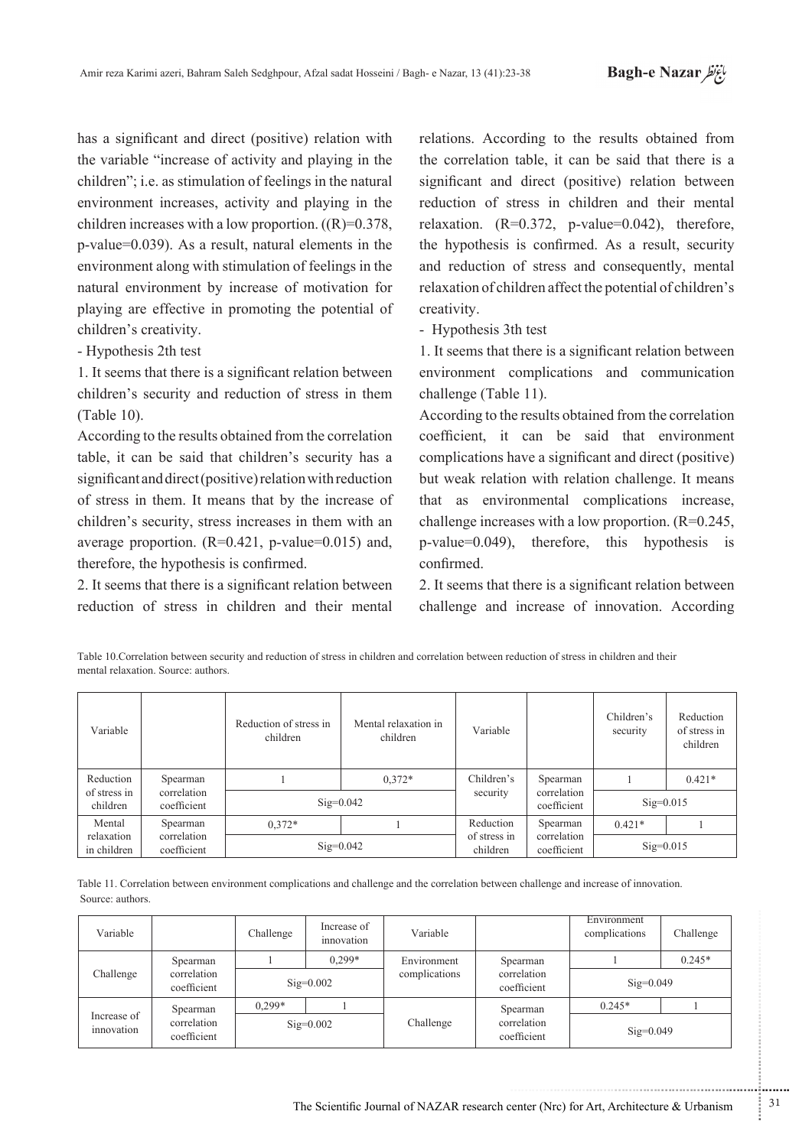has a significant and direct (positive) relation with the variable "increase of activity and playing in the children"; i.e. as stimulation of feelings in the natural environment increases, activity and playing in the children increases with a low proportion.  $((R)=0.378)$ ,  $p$ -value=0.039). As a result, natural elements in the environment along with stimulation of feelings in the natural environment by increase of motivation for playing are effective in promoting the potential of children's creativity.

- Hypothesis 2th test

1. It seems that there is a significant relation between children's security and reduction of stress in them  $(Table 10)$ .

According to the results obtained from the correlation table, it can be said that children's security has a significant and direct (positive) relation with reduction of stress in them. It means that by the increase of children's security, stress increases in them with an average proportion.  $(R=0.421, p-value=0.015)$  and, therefore, the hypothesis is confirmed.

2. It seems that there is a significant relation between reduction of stress in children and their mental relations. According to the results obtained from the correlation table, it can be said that there is a significant and direct (positive) relation between reduction of stress in children and their mental relaxation.  $(R=0.372, p-value=0.042)$ , therefore, the hypothesis is confirmed. As a result, security and reduction of stress and consequently, mental relaxation of children affect the potential of children's .creativity

- Hypothesis 3th test

1. It seems that there is a significant relation between environment complications and communication challenge (Table 11).

According to the results obtained from the correlation coefficient, it can be said that environment complications have a significant and direct (positive) but weak relation with relation challenge. It means that as environmental complications increase. challenge increases with a low proportion.  $(R=0.245,$  $p$ -value=0.049), therefore, this hypothesis is .confirmed

2. It seems that there is a significant relation between challenge and increase of innovation. According

Table 10. Correlation between security and reduction of stress in children and correlation between reduction of stress in children and their mental relaxation. Source: authors

| Variable                                                                        |                                        | Reduction of stress in<br>children | Mental relaxation in<br>children | Variable                   |                            | Children's<br>security | Reduction<br>of stress in<br>children |
|---------------------------------------------------------------------------------|----------------------------------------|------------------------------------|----------------------------------|----------------------------|----------------------------|------------------------|---------------------------------------|
| Reduction<br>Spearman<br>correlation<br>of stress in<br>coefficient<br>children |                                        |                                    | $0.372*$                         | Children's                 | Spearman                   |                        | $0.421*$                              |
|                                                                                 | $Sig=0.042$                            |                                    | security                         | correlation<br>coefficient | $Sig=0.015$                |                        |                                       |
| Mental<br>relaxation<br>in children                                             | Spearman<br>correlation<br>coefficient | $0.372*$                           |                                  | Reduction                  | Spearman                   | $0.421*$               |                                       |
|                                                                                 |                                        |                                    | $Sig=0.042$                      | of stress in<br>children   | correlation<br>coefficient | $Sig=0.015$            |                                       |

Table 11. Correlation between environment complications and challenge and the correlation between challenge and increase of innovation. Source: authors

| Variable                  |                            | Challenge | Increase of<br>innovation | Variable      |                            | Environment<br>complications | Challenge |
|---------------------------|----------------------------|-----------|---------------------------|---------------|----------------------------|------------------------------|-----------|
|                           | Spearman                   |           | $0.299*$                  | Environment   | Spearman                   |                              | $0.245*$  |
| Challenge                 | correlation<br>coefficient |           | $Sig=0.002$               | complications | correlation<br>coefficient | $Sig=0.049$                  |           |
|                           | Spearman                   | $0.299*$  |                           |               | Spearman                   | $0.245*$                     |           |
| Increase of<br>innovation | correlation<br>coefficient |           | $Sig=0.002$               | Challenge     | correlation<br>coefficient | $Sig=0.049$                  |           |

...........................................................

.......... ....... ........ ........... ...... ....... ........ .......... ...........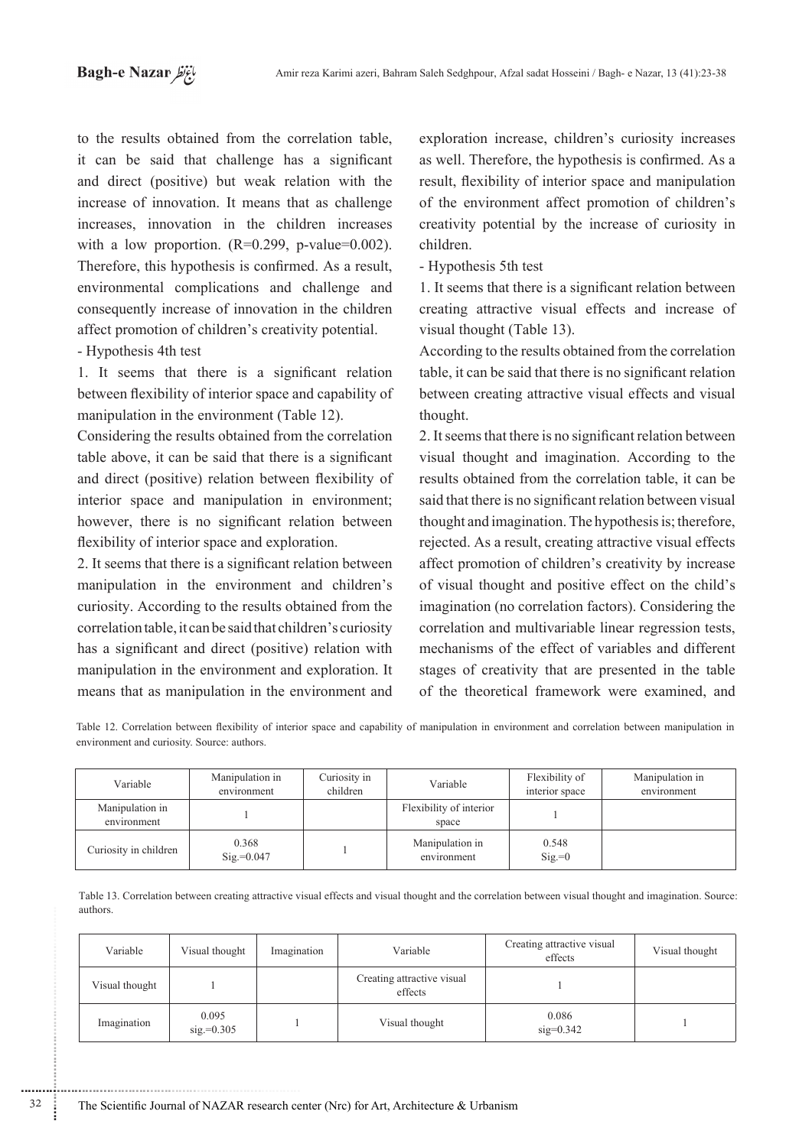to the results obtained from the correlation table, it can be said that challenge has a significant and direct (positive) but weak relation with the increase of innovation. It means that as challenge increases, innovation in the children increases with a low proportion.  $(R=0.299, p-value=0.002)$ . Therefore, this hypothesis is confirmed. As a result, environmental complications and challenge and consequently increase of innovation in the children affect promotion of children's creativity potential.

## - Hypothesis 4th test

............................................................

1. It seems that there is a significant relation between flexibility of interior space and capability of manipulation in the environment (Table 12).

Considering the results obtained from the correlation table above, it can be said that there is a significant and direct (positive) relation between flexibility of interior space and manipulation in environment: however, there is no significant relation between flexibility of interior space and exploration.

2. It seems that there is a significant relation between manipulation in the environment and children's curiosity. According to the results obtained from the correlation table, it can be said that children's curiosity has a significant and direct (positive) relation with manipulation in the environment and exploration. It means that as manipulation in the environment and

exploration increase, children's curiosity increases as well. Therefore, the hypothesis is confirmed. As a result, flexibility of interior space and manipulation of the environment affect promotion of children's creativity potential by the increase of curiosity in .children

- Hypothesis 5th test

1. It seems that there is a significant relation between creating attractive visual effects and increase of visual thought (Table 13).

According to the results obtained from the correlation table, it can be said that there is no significant relation between creating attractive visual effects and visual thought.

2. It seems that there is no significant relation between visual thought and imagination. According to the results obtained from the correlation table, it can be said that there is no significant relation between visual thought and imagination. The hypothesis is; therefore, rejected. As a result, creating attractive visual effects affect promotion of children's creativity by increase of visual thought and positive effect on the child's imagination (no correlation factors). Considering the correlation and multivariable linear regression tests, mechanisms of the effect of variables and different stages of creativity that are presented in the table of the theoretical framework were examined, and

Table 12. Correlation between flexibility of interior space and capability of manipulation in environment and correlation between manipulation in environment and curiosity. Source: authors.

| Variable                       | Manipulation in<br>environment | Curiosity in<br>children | Variable                         | Flexibility of<br>interior space | Manipulation in<br>environment |
|--------------------------------|--------------------------------|--------------------------|----------------------------------|----------------------------------|--------------------------------|
| Manipulation in<br>environment |                                |                          | Flexibility of interior<br>space |                                  |                                |
| Curiosity in children          | 0.368<br>$Sig = 0.047$         |                          | Manipulation in<br>environment   | 0.548<br>$\text{Sig}=0$          |                                |

Table 13. Correlation between creating attractive visual effects and visual thought and the correlation between visual thought and imagination. Source: .authors

| Variable       | Visual thought         | Imagination | Variable                              | Creating attractive visual<br>effects | Visual thought |
|----------------|------------------------|-------------|---------------------------------------|---------------------------------------|----------------|
| Visual thought |                        |             | Creating attractive visual<br>effects |                                       |                |
| Imagination    | 0.095<br>$sig = 0.305$ |             | Visual thought                        | 0.086<br>$sig=0.342$                  |                |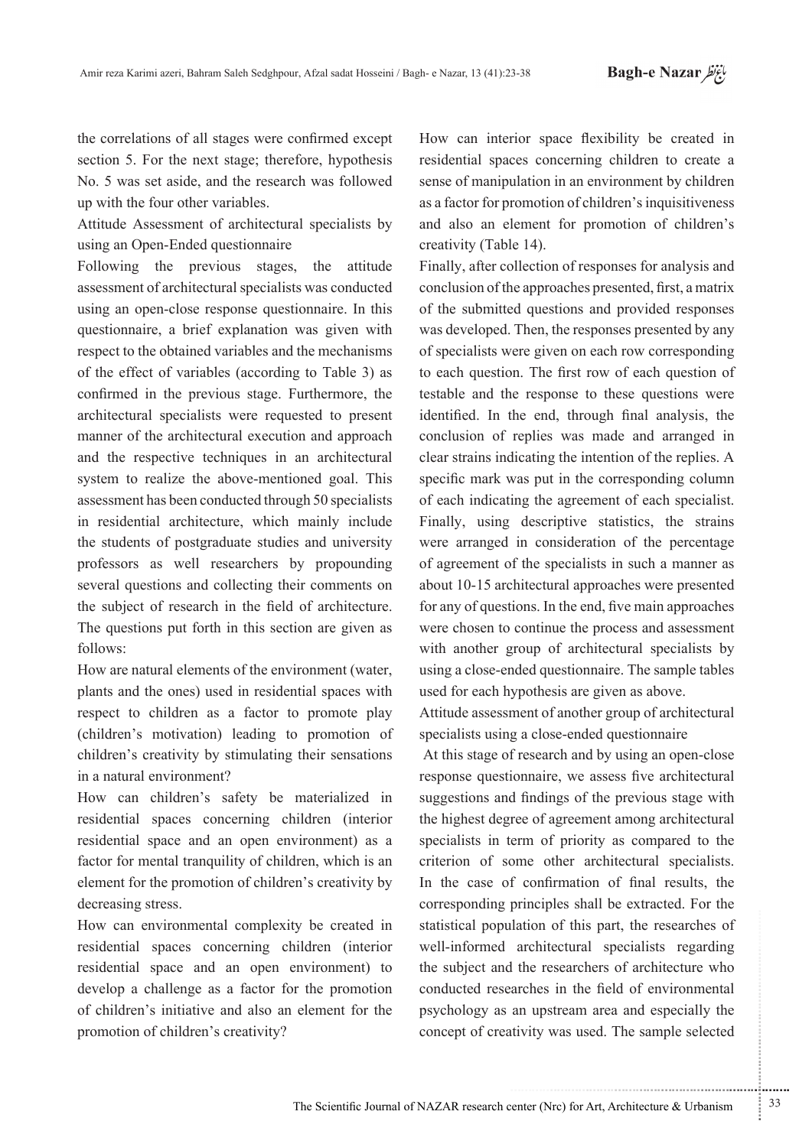the correlations of all stages were confirmed except section 5. For the next stage: therefore, hypothesis No. 5 was set aside, and the research was followed up with the four other variables.

Attitude Assessment of architectural specialists by using an Open-Ended questionnaire

Following the previous stages, the attitude assessment of architectural specialists was conducted using an open-close response questionnaire. In this questionnaire, a brief explanation was given with respect to the obtained variables and the mechanisms of the effect of variables (according to Table 3) as confirmed in the previous stage. Furthermore, the architectural specialists were requested to present manner of the architectural execution and approach and the respective techniques in an architectural system to realize the above-mentioned goal. This assessment has been conducted through 50 specialists in residential architecture, which mainly include the students of postgraduate studies and university professors as well researchers by propounding several questions and collecting their comments on the subject of research in the field of architecture. The questions put forth in this section are given as :follows

How are natural elements of the environment (water, plants and the ones) used in residential spaces with respect to children as a factor to promote play (children's motivation) leading to promotion of children's creativity by stimulating their sensations in a natural environment?

How can children's safety be materialized in residential spaces concerning children (interior residential space and an open environment) as a factor for mental tranquility of children, which is an element for the promotion of children's creativity by decreasing stress.

How can environmental complexity be created in residential spaces concerning children (interior residential space and an open environment) to develop a challenge as a factor for the promotion of children's initiative and also an element for the promotion of children's creativity?

How can interior space flexibility be created in residential spaces concerning children to create a sense of manipulation in an environment by children as a factor for promotion of children's inquisitiveness and also an element for promotion of children's creativity (Table 14).

Finally, after collection of responses for analysis and conclusion of the approaches presented, first, a matrix of the submitted questions and provided responses was developed. Then, the responses presented by any of specialists were given on each row corresponding to each question. The first row of each question of testable and the response to these questions were identified. In the end, through final analysis, the conclusion of replies was made and arranged in clear strains indicating the intention of the replies. A specific mark was put in the corresponding column of each indicating the agreement of each specialist. Finally, using descriptive statistics, the strains were arranged in consideration of the percentage of agreement of the specialists in such a manner as about 10-15 architectural approaches were presented for any of questions. In the end, five main approaches were chosen to continue the process and assessment with another group of architectural specialists by using a close-ended questionnaire. The sample tables used for each hypothesis are given as above.

Attitude assessment of another group of architectural specialists using a close-ended questionnaire

At this stage of research and by using an open-close response questionnaire, we assess five architectural suggestions and findings of the previous stage with the highest degree of agreement among architectural specialists in term of priority as compared to the criterion of some other architectural specialists. In the case of confirmation of final results, the corresponding principles shall be extracted. For the statistical population of this part, the researches of well-informed architectural specialists regarding the subject and the researchers of architecture who conducted researches in the field of environmental psychology as an upstream area and especially the concept of creativity was used. The sample selected

.......... ....... ........ ........... ...... ....... ........ .......... ...........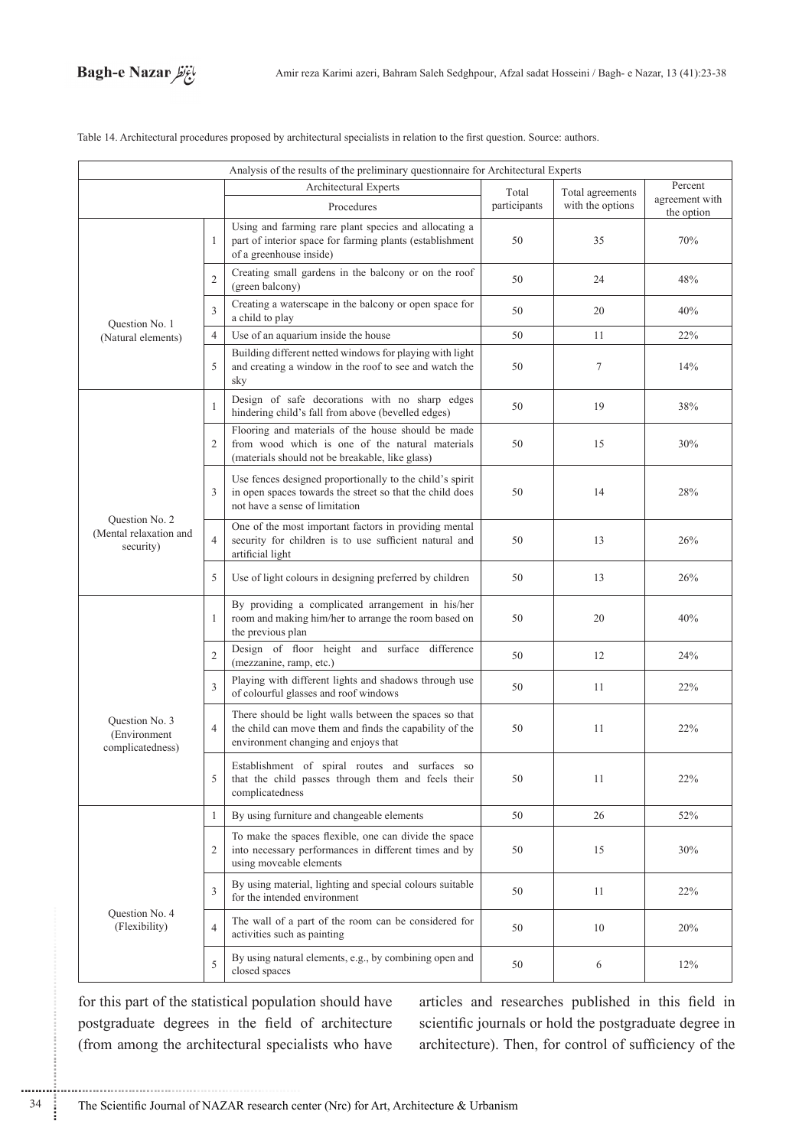

| Analysis of the results of the preliminary questionnaire for Architectural Experts |                |                                                                                                                                                           |              |                  |                              |  |
|------------------------------------------------------------------------------------|----------------|-----------------------------------------------------------------------------------------------------------------------------------------------------------|--------------|------------------|------------------------------|--|
|                                                                                    |                | Architectural Experts                                                                                                                                     | Total        | Total agreements | Percent                      |  |
|                                                                                    |                | Procedures                                                                                                                                                | participants | with the options | agreement with<br>the option |  |
|                                                                                    | 1              | Using and farming rare plant species and allocating a<br>part of interior space for farming plants (establishment<br>of a greenhouse inside)              | 50           | 35               | 70%                          |  |
|                                                                                    | $\overline{2}$ | Creating small gardens in the balcony or on the roof<br>(green balcony)                                                                                   | 50           | 24               | 48%                          |  |
| Question No. 1                                                                     | 3              | Creating a waterscape in the balcony or open space for<br>a child to play                                                                                 | 50           | 20               | 40%                          |  |
| (Natural elements)                                                                 | $\overline{4}$ | Use of an aquarium inside the house                                                                                                                       | 50           | 11               | 22%                          |  |
|                                                                                    | 5              | Building different netted windows for playing with light<br>and creating a window in the roof to see and watch the<br>sky                                 | 50           | $\tau$           | 14%                          |  |
|                                                                                    | 1              | Design of safe decorations with no sharp edges<br>hindering child's fall from above (bevelled edges)                                                      | 50           | 19               | $38\%$                       |  |
|                                                                                    | 2              | Flooring and materials of the house should be made<br>from wood which is one of the natural materials<br>(materials should not be breakable, like glass)  | 50           | 15               | 30%                          |  |
|                                                                                    | 3              | Use fences designed proportionally to the child's spirit<br>in open spaces towards the street so that the child does<br>not have a sense of limitation    | 50           | 14               | 28%                          |  |
| Question No. 2<br>(Mental relaxation and<br>security)                              | $\overline{4}$ | One of the most important factors in providing mental<br>security for children is to use sufficient natural and<br>artificial light                       | 50           | 13               | 26%                          |  |
|                                                                                    | 5              | Use of light colours in designing preferred by children                                                                                                   | 50           | 13               | 26%                          |  |
|                                                                                    | 1              | By providing a complicated arrangement in his/her<br>room and making him/her to arrange the room based on<br>the previous plan                            | 50           | 20               | 40%                          |  |
|                                                                                    | $\overline{2}$ | Design of floor height and surface difference<br>(mezzanine, ramp, etc.)                                                                                  | 50           | 12               | 24%                          |  |
| Question No. 3<br>(Environment)<br>complicatedness)                                | 3              | Playing with different lights and shadows through use<br>of colourful glasses and roof windows                                                            | 50           | 11               | 22%                          |  |
|                                                                                    | $\overline{4}$ | There should be light walls between the spaces so that<br>the child can move them and finds the capability of the<br>environment changing and enjoys that | 50           | 11               | 22%                          |  |
|                                                                                    | 5              | Establishment of spiral routes and surfaces so<br>that the child passes through them and feels their<br>complicatedness                                   | 50           | 11               | 22%                          |  |
|                                                                                    | 1              | By using furniture and changeable elements                                                                                                                | 50           | 26               | 52%                          |  |
|                                                                                    | $\overline{2}$ | To make the spaces flexible, one can divide the space<br>into necessary performances in different times and by<br>using moveable elements                 | 50           | 15               | 30%                          |  |
|                                                                                    | 3              | By using material, lighting and special colours suitable<br>for the intended environment                                                                  | 50           | 11               | 22%                          |  |
| Question No. 4<br>(Flexibility)                                                    | $\overline{4}$ | The wall of a part of the room can be considered for<br>activities such as painting                                                                       | 50           | 10               | 20%                          |  |
|                                                                                    | 5              | By using natural elements, e.g., by combining open and<br>closed spaces                                                                                   | 50           | 6                | 12%                          |  |

Table 14. Architectural procedures proposed by architectural specialists in relation to the first question. Source: authors.

for this part of the statistical population should have postgraduate degrees in the field of architecture (from among the architectural specialists who have articles and researches published in this field in scientific journals or hold the postgraduate degree in architecture). Then, for control of sufficiency of the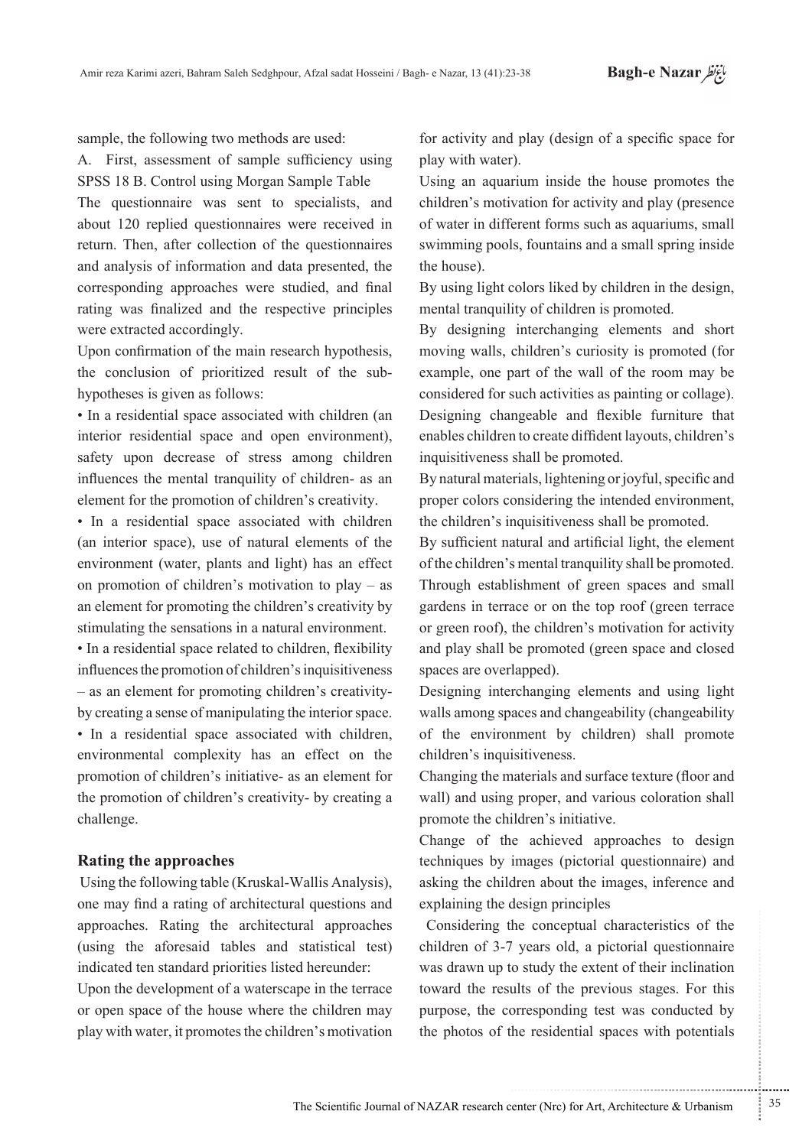sample, the following two methods are used:

A. First, assessment of sample sufficiency using SPSS 18 B. Control using Morgan Sample Table

The questionnaire was sent to specialists, and about 120 replied questionnaires were received in return. Then, after collection of the questionnaires and analysis of information and data presented, the corresponding approaches were studied, and final rating was finalized and the respective principles were extracted accordingly.

Upon confirmation of the main research hypothesis, the conclusion of prioritized result of the sub-<br>hypotheses is given as follows:

• In a residential space associated with children (an interior residential space and open environment), safety upon decrease of stress among children influences the mental tranquility of children- as an element for the promotion of children's creativity.

• In a residential space associated with children (an interior space), use of natural elements of the environment (water, plants and light) has an effect on promotion of children's motivation to play  $-$  as an element for promoting the children's creativity by stimulating the sensations in a natural environment.

• In a residential space related to children, flexibility influences the promotion of children's inquisitiveness by creating a sense of manipulating the interior space.  $-$  as an element for promoting children's creativity-• In a residential space associated with children, environmental complexity has an effect on the promotion of children's initiative- as an element for the promotion of children's creativity- by creating a .challenge

## **Rating the approaches**

Using the following table (Kruskal-Wallis Analysis), one may find a rating of architectural questions and approaches. Rating the architectural approaches  $(u\sin g)$  the aforesaid tables and statistical test) indicated ten standard priorities listed hereunder:

Upon the development of a waterscape in the terrace or open space of the house where the children may play with water, it promotes the children's motivation for activity and play (design of a specific space for play with water).

Using an aquarium inside the house promotes the children's motivation for activity and play (presence) of water in different forms such as aquariums, small swimming pools, fountains and a small spring inside the house).

By using light colors liked by children in the design, mental tranquility of children is promoted.

By designing interchanging elements and short moving walls, children's curiosity is promoted (for example, one part of the wall of the room may be considered for such activities as painting or collage). Designing changeable and flexible furniture that enables children to create diffident layouts, children's inquisitiveness shall be promoted.

By natural materials, lightening or joyful, specific and proper colors considering the intended environment. the children's inquisitiveness shall be promoted.

By sufficient natural and artificial light, the element of the children's mental tranquility shall be promoted. Through establishment of green spaces and small gardens in terrace or on the top roof (green terrace or green roof), the children's motivation for activity and play shall be promoted (green space and closed spaces are overlapped).

Designing interchanging elements and using light walls among spaces and changeability (changeability of the environment by children) shall promote children's inquisitiveness.

Changing the materials and surface texture (floor and wall) and using proper, and various coloration shall promote the children's initiative.

Change of the achieved approaches to design techniques by images (pictorial questionnaire) and asking the children about the images, inference and explaining the design principles

Considering the conceptual characteristics of the children of 3-7 years old, a pictorial questionnaire was drawn up to study the extent of their inclination toward the results of the previous stages. For this purpose, the corresponding test was conducted by the photos of the residential spaces with potentials

.......... ....... ........ ........... ...... ....... ........ .......... ...........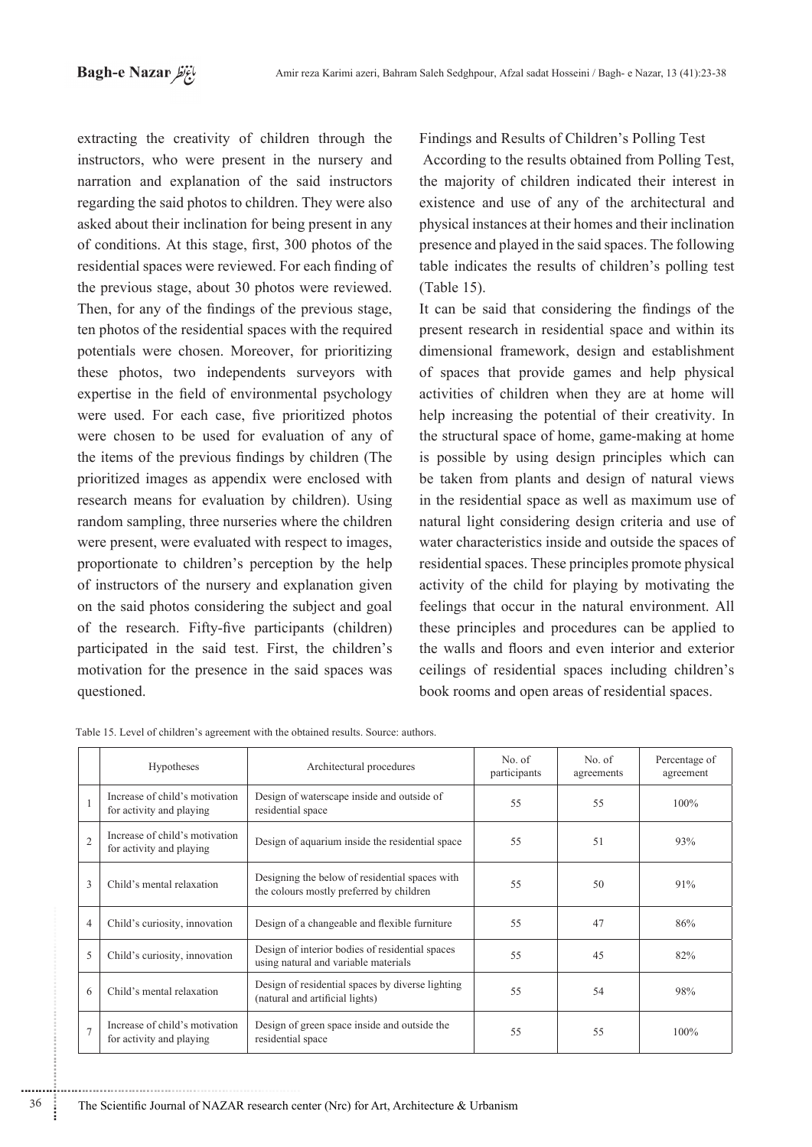extracting the creativity of children through the instructors, who were present in the nursery and narration and explanation of the said instructors regarding the said photos to children. They were also asked about their inclination for being present in any of conditions. At this stage, first, 300 photos of the residential spaces were reviewed. For each finding of the previous stage, about 30 photos were reviewed. Then, for any of the findings of the previous stage, ten photos of the residential spaces with the required potentials were chosen. Moreover, for prioritizing these photos, two independents surveyors with expertise in the field of environmental psychology were used. For each case, five prioritized photos were chosen to be used for evaluation of any of the items of the previous findings by children (The prioritized images as appendix were enclosed with research means for evaluation by children). Using random sampling, three nurseries where the children were present, were evaluated with respect to images, proportionate to children's perception by the help of instructors of the nursery and explanation given on the said photos considering the subject and goal of the research. Fifty-five participants (children) participated in the said test. First, the children's motivation for the presence in the said spaces was questioned.

Findings and Results of Children's Polling Test

According to the results obtained from Polling Test. the majority of children indicated their interest in existence and use of any of the architectural and physical instances at their homes and their inclination presence and played in the said spaces. The following table indicates the results of children's polling test  $(Table 15)$ .

It can be said that considering the findings of the present research in residential space and within its dimensional framework, design and establishment of spaces that provide games and help physical activities of children when they are at home will help increasing the potential of their creativity. In the structural space of home, game-making at home is possible by using design principles which can be taken from plants and design of natural views in the residential space as well as maximum use of natural light considering design criteria and use of water characteristics inside and outside the spaces of residential spaces. These principles promote physical activity of the child for playing by motivating the feelings that occur in the natural environment. All these principles and procedures can be applied to the walls and floors and even interior and exterior ceilings of residential spaces including children's book rooms and open areas of residential spaces.

|                | Hypotheses                                                 | Architectural procedures                                                                   | No. of<br>participants | No. of<br>agreements | Percentage of<br>agreement |
|----------------|------------------------------------------------------------|--------------------------------------------------------------------------------------------|------------------------|----------------------|----------------------------|
|                | Increase of child's motivation<br>for activity and playing | Design of waterscape inside and outside of<br>residential space                            | 55                     | 55                   | 100%                       |
| $\overline{2}$ | Increase of child's motivation<br>for activity and playing | Design of aquarium inside the residential space                                            | 55                     | 51                   | 93%                        |
| 3              | Child's mental relaxation                                  | Designing the below of residential spaces with<br>the colours mostly preferred by children | 55                     | 50                   | 91%                        |
| $\overline{4}$ | Child's curiosity, innovation                              | Design of a changeable and flexible furniture                                              | 55                     | 47                   | 86%                        |
| 5              | Child's curiosity, innovation                              | Design of interior bodies of residential spaces<br>using natural and variable materials    | 55                     | 45                   | 82%                        |
| 6              | Child's mental relaxation                                  | Design of residential spaces by diverse lighting<br>(natural and artificial lights)        | 55                     | 54                   | 98%                        |
| $\overline{7}$ | Increase of child's motivation<br>for activity and playing | Design of green space inside and outside the<br>residential space                          | 55                     | 55                   | 100%                       |

Table 15. Level of children's agreement with the obtained results. Source: authors.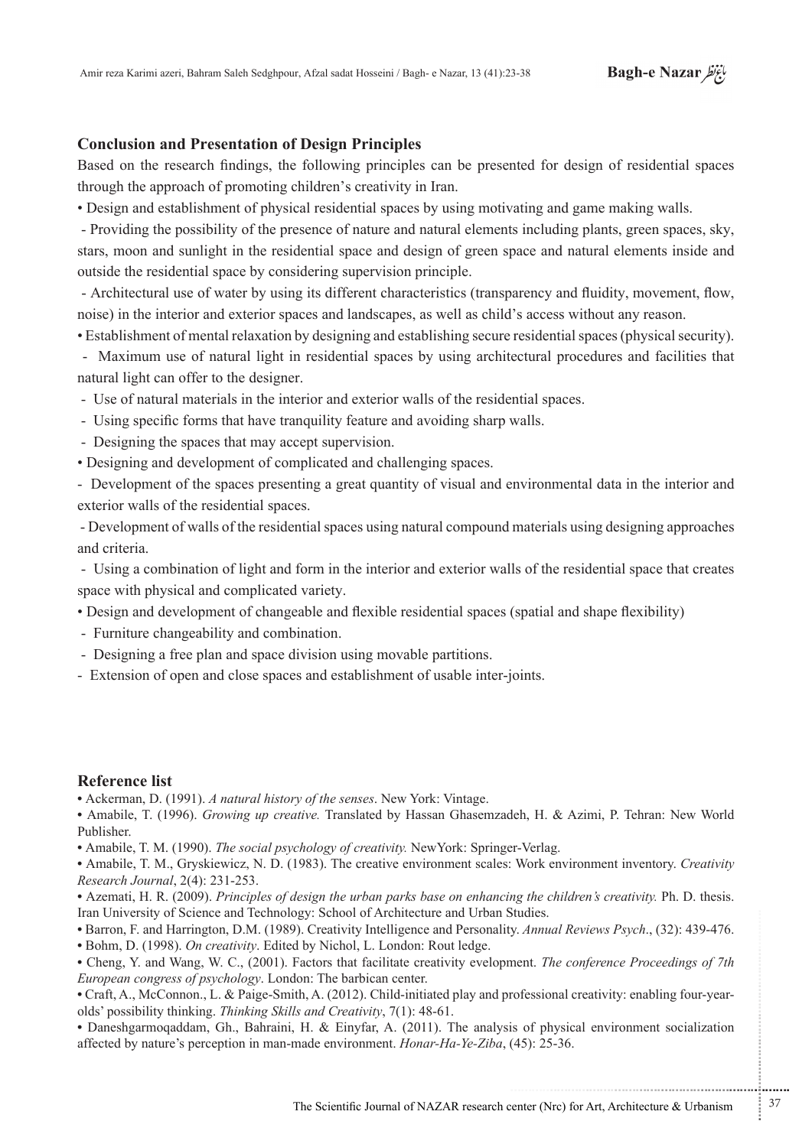## **Conclusion and Presentation of Design Principles**

Based on the research findings, the following principles can be presented for design of residential spaces through the approach of promoting children's creativity in Iran.

• Design and establishment of physical residential spaces by using motivating and game making walls.

- Providing the possibility of the presence of nature and natural elements including plants, green spaces, sky, stars, moon and sunlight in the residential space and design of green space and natural elements inside and outside the residential space by considering supervision principle.

- Architectural use of water by using its different characteristics (transparency and fluidity, movement, flow, noise) in the interior and exterior spaces and landscapes, as well as child's access without any reason.

• Establishment of mental relaxation by designing and establishing secure residential spaces (physical security).

- Maximum use of natural light in residential spaces by using architectural procedures and facilities that natural light can offer to the designer.

- Use of natural materials in the interior and exterior walls of the residential spaces.

- Using specific forms that have tranquility feature and avoiding sharp walls.
- Designing the spaces that may accept supervision.
- Designing and development of complicated and challenging spaces.

- Development of the spaces presenting a great quantity of visual and environmental data in the interior and exterior walls of the residential spaces.

- Development of walls of the residential spaces using natural compound materials using designing approaches and criteria

- Using a combination of light and form in the interior and exterior walls of the residential space that creates space with physical and complicated variety.

• Design and development of changeable and flexible residential spaces (spatial and shape flexibility)

- Furniture changeability and combination.
- Designing a free plan and space division using movable partitions.
- Extension of open and close spaces and establishment of usable inter-joints.

## **Reference** list

• Ackerman, D. (1991). *A natural history of the senses*. New York: Vintage.

• Amabile, T. (1996). *Growing up creative*. Translated by Hassan Ghasemzadeh. H. & Azimi. P. Tehran: New World .Publisher

• Amabile, T. M. (1990). *The social psychology of creativity*. NewYork: Springer-Verlag.

• Amabile, T. M., Gryskiewicz, N. D. (1983). The creative environment scales: Work environment inventory. *Creativity* Research Journal, 2(4): 231-253.

• Azemati, H. R. (2009). Principles of design the urban parks base on enhancing the children's creativity. Ph. D. thesis. Iran University of Science and Technology: School of Architecture and Urban Studies.

• Barron, F. and Harrington, D.M. (1989). Creativity Intelligence and Personality. Annual Reviews Psych., (32): 439-476.

• Bohm, D. (1998). On creativity. Edited by Nichol, L. London: Rout ledge.

• Cheng, Y. and Wang, W. C., (2001). Factors that facilitate creativity evelopment. *The conference Proceedings of 7th* European congress of psychology. London: The barbican center.

• Craft, A., McConnon., L. & Paige-Smith, A. (2012). Child-initiated play and professional creativity: enabling four-year-<br>olds' possibility thinking. *Thinking Skills and Creativity*, 7(1): 48-61.

• Daneshgarmoqaddam, Gh., Bahraini, H. & Einyfar, A. (2011). The analysis of physical environment socialization affected by nature's perception in man-made environment. *Honar-Ha-Ye-Ziba*, (45): 25-36.

...........................................................

.......... ....... ........ ........... ...... ....... ........ .......... ...........